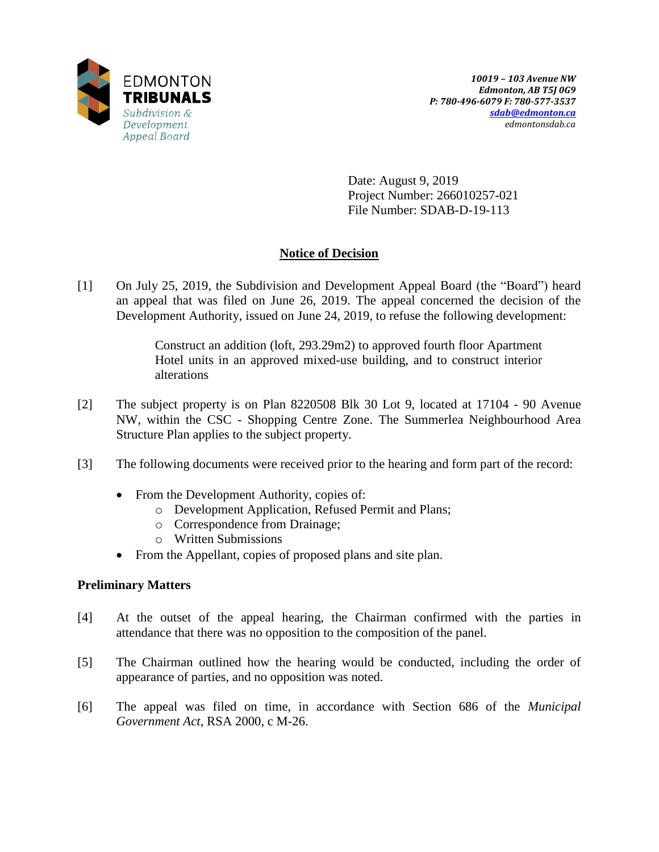

Date: August 9, 2019 Project Number: 266010257-021 File Number: SDAB-D-19-113

# **Notice of Decision**

[1] On July 25, 2019, the Subdivision and Development Appeal Board (the "Board") heard an appeal that was filed on June 26, 2019. The appeal concerned the decision of the Development Authority, issued on June 24, 2019, to refuse the following development:

> Construct an addition (loft, 293.29m2) to approved fourth floor Apartment Hotel units in an approved mixed-use building, and to construct interior alterations

- [2] The subject property is on Plan 8220508 Blk 30 Lot 9, located at 17104 90 Avenue NW, within the CSC - Shopping Centre Zone. The Summerlea Neighbourhood Area Structure Plan applies to the subject property.
- [3] The following documents were received prior to the hearing and form part of the record:
	- From the Development Authority, copies of:
		- o Development Application, Refused Permit and Plans;
		- o Correspondence from Drainage;
		- o Written Submissions
	- From the Appellant, copies of proposed plans and site plan.

# **Preliminary Matters**

- [4] At the outset of the appeal hearing, the Chairman confirmed with the parties in attendance that there was no opposition to the composition of the panel.
- [5] The Chairman outlined how the hearing would be conducted, including the order of appearance of parties, and no opposition was noted.
- [6] The appeal was filed on time, in accordance with Section 686 of the *Municipal Government Act*, RSA 2000, c M-26.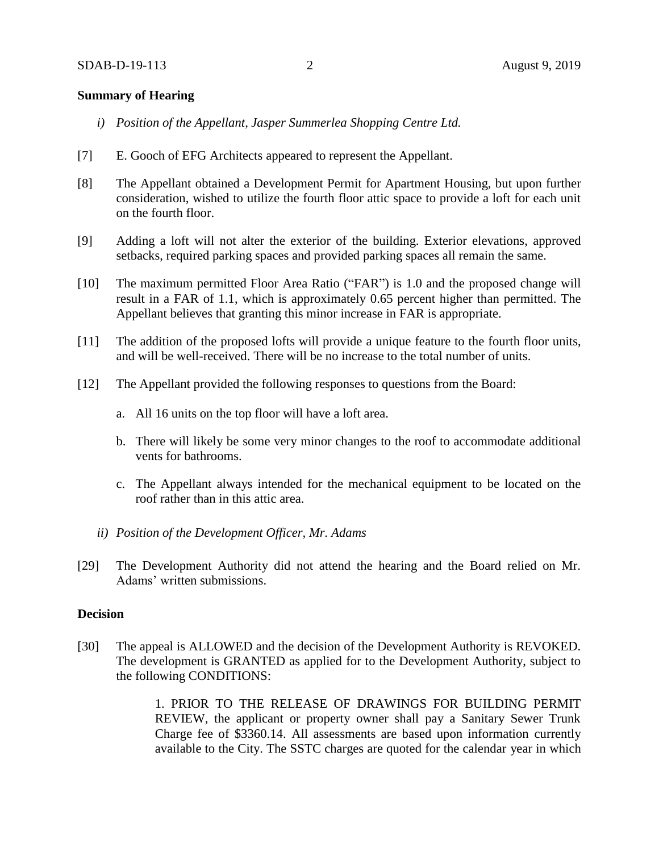# **Summary of Hearing**

- *i) Position of the Appellant, Jasper Summerlea Shopping Centre Ltd.*
- [7] E. Gooch of EFG Architects appeared to represent the Appellant.
- [8] The Appellant obtained a Development Permit for Apartment Housing, but upon further consideration, wished to utilize the fourth floor attic space to provide a loft for each unit on the fourth floor.
- [9] Adding a loft will not alter the exterior of the building. Exterior elevations, approved setbacks, required parking spaces and provided parking spaces all remain the same.
- [10] The maximum permitted Floor Area Ratio ("FAR") is 1.0 and the proposed change will result in a FAR of 1.1, which is approximately 0.65 percent higher than permitted. The Appellant believes that granting this minor increase in FAR is appropriate.
- [11] The addition of the proposed lofts will provide a unique feature to the fourth floor units, and will be well-received. There will be no increase to the total number of units.
- [12] The Appellant provided the following responses to questions from the Board:
	- a. All 16 units on the top floor will have a loft area.
	- b. There will likely be some very minor changes to the roof to accommodate additional vents for bathrooms.
	- c. The Appellant always intended for the mechanical equipment to be located on the roof rather than in this attic area.
	- *ii) Position of the Development Officer, Mr. Adams*
- [29] The Development Authority did not attend the hearing and the Board relied on Mr. Adams' written submissions.

#### **Decision**

[30] The appeal is ALLOWED and the decision of the Development Authority is REVOKED. The development is GRANTED as applied for to the Development Authority, subject to the following CONDITIONS:

> 1. PRIOR TO THE RELEASE OF DRAWINGS FOR BUILDING PERMIT REVIEW, the applicant or property owner shall pay a Sanitary Sewer Trunk Charge fee of \$3360.14. All assessments are based upon information currently available to the City. The SSTC charges are quoted for the calendar year in which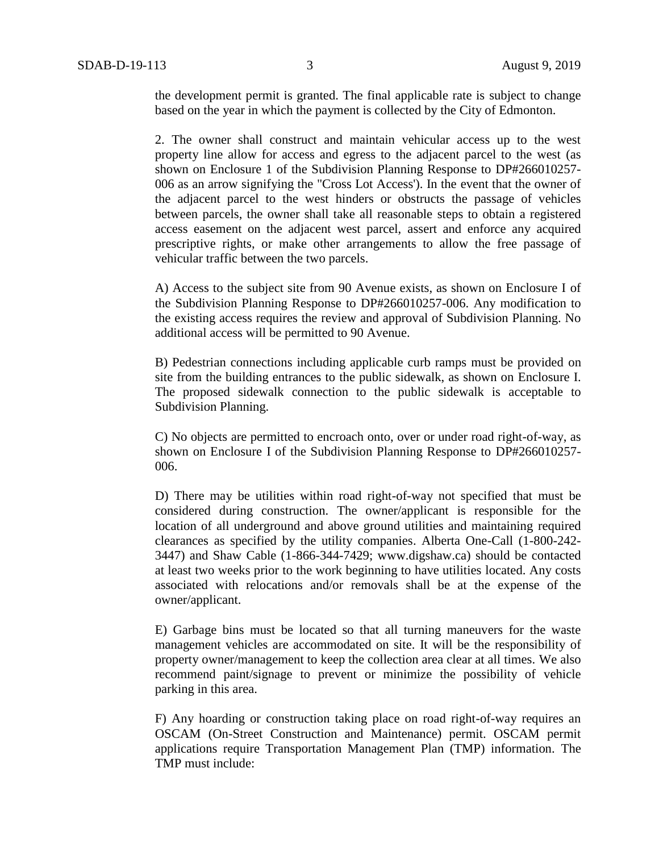the development permit is granted. The final applicable rate is subject to change based on the year in which the payment is collected by the City of Edmonton.

2. The owner shall construct and maintain vehicular access up to the west property line allow for access and egress to the adjacent parcel to the west (as shown on Enclosure 1 of the Subdivision Planning Response to DP#266010257- 006 as an arrow signifying the "Cross Lot Access'). In the event that the owner of the adjacent parcel to the west hinders or obstructs the passage of vehicles between parcels, the owner shall take all reasonable steps to obtain a registered access easement on the adjacent west parcel, assert and enforce any acquired prescriptive rights, or make other arrangements to allow the free passage of vehicular traffic between the two parcels.

A) Access to the subject site from 90 Avenue exists, as shown on Enclosure I of the Subdivision Planning Response to DP#266010257-006. Any modification to the existing access requires the review and approval of Subdivision Planning. No additional access will be permitted to 90 Avenue.

B) Pedestrian connections including applicable curb ramps must be provided on site from the building entrances to the public sidewalk, as shown on Enclosure I. The proposed sidewalk connection to the public sidewalk is acceptable to Subdivision Planning.

C) No objects are permitted to encroach onto, over or under road right-of-way, as shown on Enclosure I of the Subdivision Planning Response to DP#266010257- 006.

D) There may be utilities within road right-of-way not specified that must be considered during construction. The owner/applicant is responsible for the location of all underground and above ground utilities and maintaining required clearances as specified by the utility companies. Alberta One-Call (1-800-242- 3447) and Shaw Cable (1-866-344-7429; www.digshaw.ca) should be contacted at least two weeks prior to the work beginning to have utilities located. Any costs associated with relocations and/or removals shall be at the expense of the owner/applicant.

E) Garbage bins must be located so that all turning maneuvers for the waste management vehicles are accommodated on site. It will be the responsibility of property owner/management to keep the collection area clear at all times. We also recommend paint/signage to prevent or minimize the possibility of vehicle parking in this area.

F) Any hoarding or construction taking place on road right-of-way requires an OSCAM (On-Street Construction and Maintenance) permit. OSCAM permit applications require Transportation Management Plan (TMP) information. The TMP must include: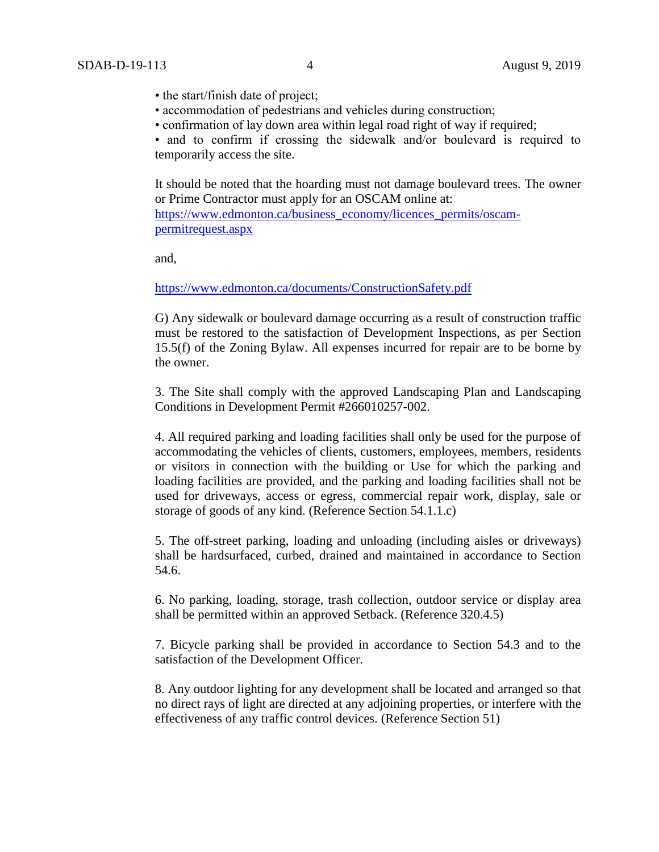- the start/finish date of project;
- accommodation of pedestrians and vehicles during construction;
- confirmation of lay down area within legal road right of way if required;

• and to confirm if crossing the sidewalk and/or boulevard is required to temporarily access the site.

It should be noted that the hoarding must not damage boulevard trees. The owner or Prime Contractor must apply for an OSCAM online at: [https://www.edmonton.ca/business\\_economy/licences\\_permits/oscam](https://www.edmonton.ca/business_economy/licences_permits/oscam-permitrequest.aspx)[permitrequest.aspx](https://www.edmonton.ca/business_economy/licences_permits/oscam-permitrequest.aspx)

and,

<https://www.edmonton.ca/documents/ConstructionSafety.pdf>

G) Any sidewalk or boulevard damage occurring as a result of construction traffic must be restored to the satisfaction of Development Inspections, as per Section 15.5(f) of the Zoning Bylaw. All expenses incurred for repair are to be borne by the owner.

3. The Site shall comply with the approved Landscaping Plan and Landscaping Conditions in Development Permit #266010257-002.

4. All required parking and loading facilities shall only be used for the purpose of accommodating the vehicles of clients, customers, employees, members, residents or visitors in connection with the building or Use for which the parking and loading facilities are provided, and the parking and loading facilities shall not be used for driveways, access or egress, commercial repair work, display, sale or storage of goods of any kind. (Reference Section 54.1.1.c)

5. The off-street parking, loading and unloading (including aisles or driveways) shall be hardsurfaced, curbed, drained and maintained in accordance to Section 54.6.

6. No parking, loading, storage, trash collection, outdoor service or display area shall be permitted within an approved Setback. (Reference 320.4.5)

7. Bicycle parking shall be provided in accordance to Section 54.3 and to the satisfaction of the Development Officer.

8. Any outdoor lighting for any development shall be located and arranged so that no direct rays of light are directed at any adjoining properties, or interfere with the effectiveness of any traffic control devices. (Reference Section 51)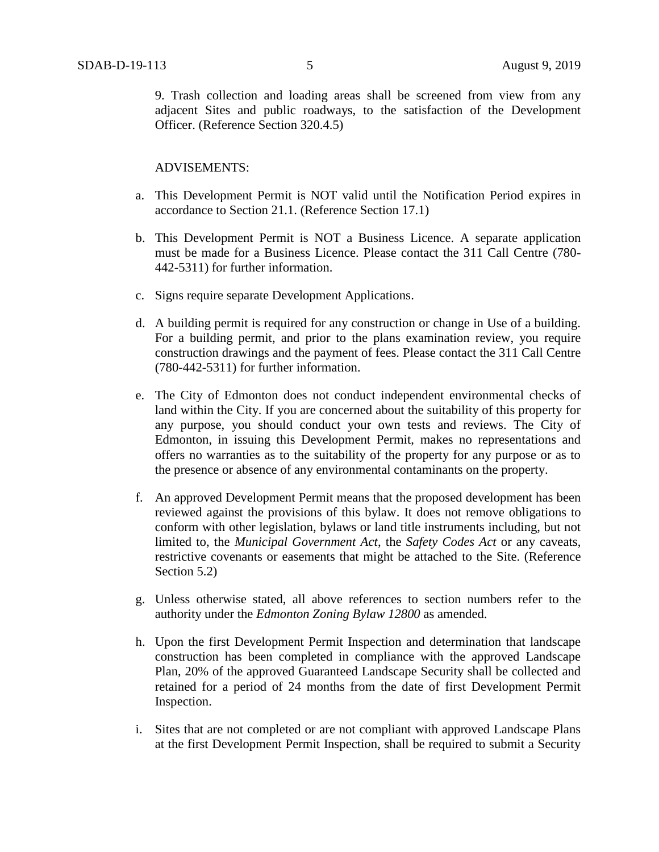9. Trash collection and loading areas shall be screened from view from any adjacent Sites and public roadways, to the satisfaction of the Development Officer. (Reference Section 320.4.5)

## ADVISEMENTS:

- a. This Development Permit is NOT valid until the Notification Period expires in accordance to Section 21.1. (Reference Section 17.1)
- b. This Development Permit is NOT a Business Licence. A separate application must be made for a Business Licence. Please contact the 311 Call Centre (780- 442-5311) for further information.
- c. Signs require separate Development Applications.
- d. A building permit is required for any construction or change in Use of a building. For a building permit, and prior to the plans examination review, you require construction drawings and the payment of fees. Please contact the 311 Call Centre (780-442-5311) for further information.
- e. The City of Edmonton does not conduct independent environmental checks of land within the City. If you are concerned about the suitability of this property for any purpose, you should conduct your own tests and reviews. The City of Edmonton, in issuing this Development Permit, makes no representations and offers no warranties as to the suitability of the property for any purpose or as to the presence or absence of any environmental contaminants on the property.
- f. An approved Development Permit means that the proposed development has been reviewed against the provisions of this bylaw. It does not remove obligations to conform with other legislation, bylaws or land title instruments including, but not limited to, the *Municipal Government Act*, the *Safety Codes Act* or any caveats, restrictive covenants or easements that might be attached to the Site. (Reference Section 5.2)
- g. Unless otherwise stated, all above references to section numbers refer to the authority under the *Edmonton Zoning Bylaw 12800* as amended.
- h. Upon the first Development Permit Inspection and determination that landscape construction has been completed in compliance with the approved Landscape Plan, 20% of the approved Guaranteed Landscape Security shall be collected and retained for a period of 24 months from the date of first Development Permit Inspection.
- i. Sites that are not completed or are not compliant with approved Landscape Plans at the first Development Permit Inspection, shall be required to submit a Security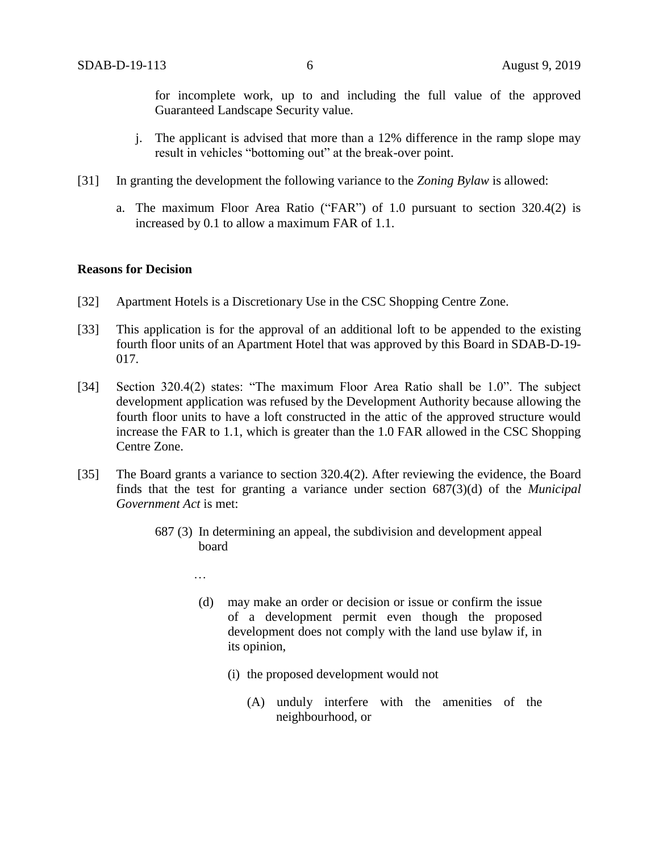for incomplete work, up to and including the full value of the approved Guaranteed Landscape Security value.

- j. The applicant is advised that more than a 12% difference in the ramp slope may result in vehicles "bottoming out" at the break-over point.
- [31] In granting the development the following variance to the *Zoning Bylaw* is allowed:
	- a. The maximum Floor Area Ratio ("FAR") of 1.0 pursuant to section 320.4(2) is increased by 0.1 to allow a maximum FAR of 1.1.

#### **Reasons for Decision**

- [32] Apartment Hotels is a Discretionary Use in the CSC Shopping Centre Zone.
- [33] This application is for the approval of an additional loft to be appended to the existing fourth floor units of an Apartment Hotel that was approved by this Board in SDAB-D-19- 017.
- [34] Section 320.4(2) states: "The maximum Floor Area Ratio shall be 1.0". The subject development application was refused by the Development Authority because allowing the fourth floor units to have a loft constructed in the attic of the approved structure would increase the FAR to 1.1, which is greater than the 1.0 FAR allowed in the CSC Shopping Centre Zone.
- [35] The Board grants a variance to section 320.4(2). After reviewing the evidence, the Board finds that the test for granting a variance under section 687(3)(d) of the *Municipal Government Act* is met:
	- 687 (3) In determining an appeal, the subdivision and development appeal board
		- …
		- (d) may make an order or decision or issue or confirm the issue of a development permit even though the proposed development does not comply with the land use bylaw if, in its opinion,
			- (i) the proposed development would not
				- (A) unduly interfere with the amenities of the neighbourhood, or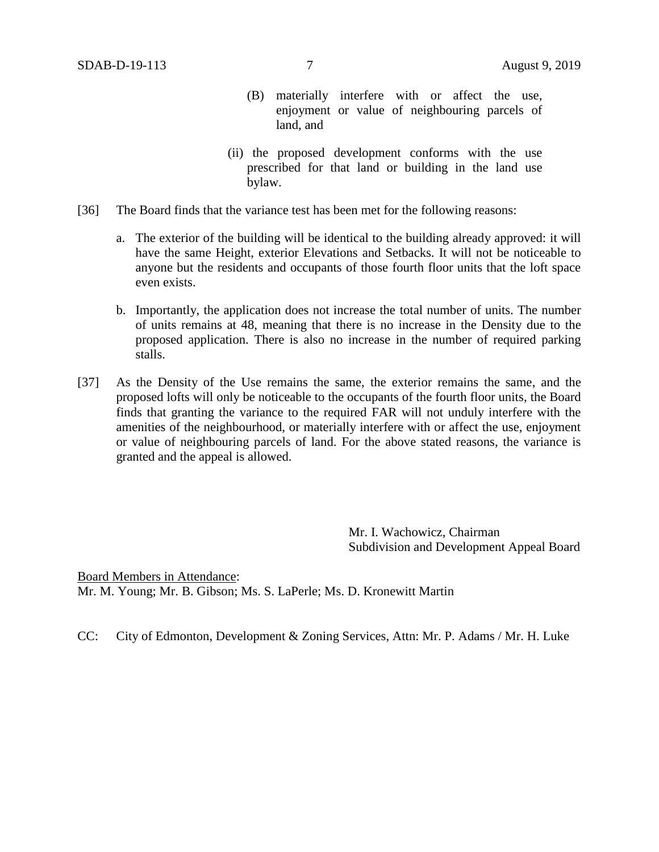- (B) materially interfere with or affect the use, enjoyment or value of neighbouring parcels of land, and
- (ii) the proposed development conforms with the use prescribed for that land or building in the land use bylaw.
- [36] The Board finds that the variance test has been met for the following reasons:
	- a. The exterior of the building will be identical to the building already approved: it will have the same Height, exterior Elevations and Setbacks. It will not be noticeable to anyone but the residents and occupants of those fourth floor units that the loft space even exists.
	- b. Importantly, the application does not increase the total number of units. The number of units remains at 48, meaning that there is no increase in the Density due to the proposed application. There is also no increase in the number of required parking stalls.
- [37] As the Density of the Use remains the same, the exterior remains the same, and the proposed lofts will only be noticeable to the occupants of the fourth floor units, the Board finds that granting the variance to the required FAR will not unduly interfere with the amenities of the neighbourhood, or materially interfere with or affect the use, enjoyment or value of neighbouring parcels of land. For the above stated reasons, the variance is granted and the appeal is allowed.

Mr. I. Wachowicz, Chairman Subdivision and Development Appeal Board

Board Members in Attendance: Mr. M. Young; Mr. B. Gibson; Ms. S. LaPerle; Ms. D. Kronewitt Martin

CC: City of Edmonton, Development & Zoning Services, Attn: Mr. P. Adams / Mr. H. Luke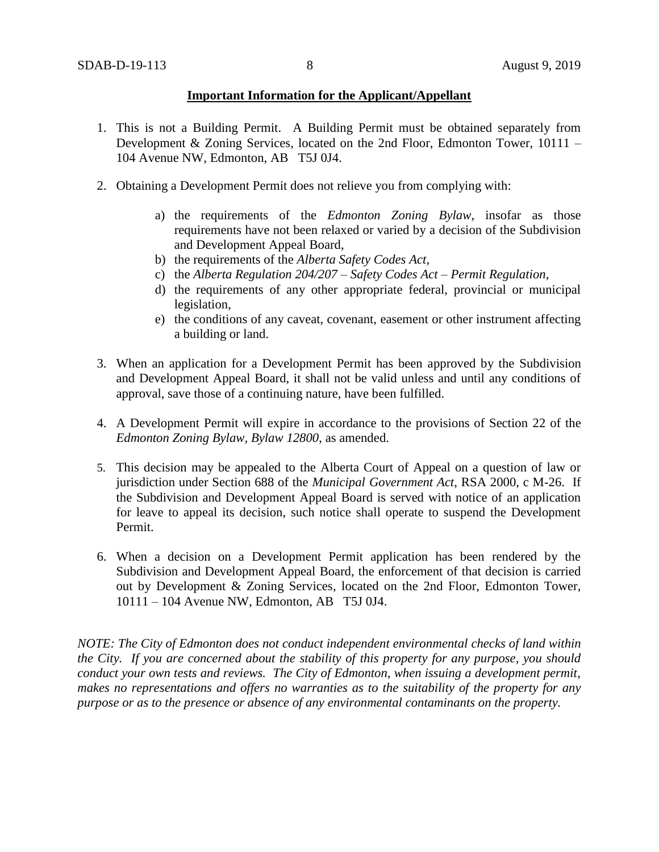## **Important Information for the Applicant/Appellant**

- 1. This is not a Building Permit. A Building Permit must be obtained separately from Development & Zoning Services, located on the 2nd Floor, Edmonton Tower, 10111 – 104 Avenue NW, Edmonton, AB T5J 0J4.
- 2. Obtaining a Development Permit does not relieve you from complying with:
	- a) the requirements of the *Edmonton Zoning Bylaw*, insofar as those requirements have not been relaxed or varied by a decision of the Subdivision and Development Appeal Board,
	- b) the requirements of the *Alberta Safety Codes Act*,
	- c) the *Alberta Regulation 204/207 – Safety Codes Act – Permit Regulation*,
	- d) the requirements of any other appropriate federal, provincial or municipal legislation,
	- e) the conditions of any caveat, covenant, easement or other instrument affecting a building or land.
- 3. When an application for a Development Permit has been approved by the Subdivision and Development Appeal Board, it shall not be valid unless and until any conditions of approval, save those of a continuing nature, have been fulfilled.
- 4. A Development Permit will expire in accordance to the provisions of Section 22 of the *Edmonton Zoning Bylaw, Bylaw 12800*, as amended.
- 5. This decision may be appealed to the Alberta Court of Appeal on a question of law or jurisdiction under Section 688 of the *Municipal Government Act*, RSA 2000, c M-26. If the Subdivision and Development Appeal Board is served with notice of an application for leave to appeal its decision, such notice shall operate to suspend the Development Permit.
- 6. When a decision on a Development Permit application has been rendered by the Subdivision and Development Appeal Board, the enforcement of that decision is carried out by Development & Zoning Services, located on the 2nd Floor, Edmonton Tower, 10111 – 104 Avenue NW, Edmonton, AB T5J 0J4.

*NOTE: The City of Edmonton does not conduct independent environmental checks of land within the City. If you are concerned about the stability of this property for any purpose, you should conduct your own tests and reviews. The City of Edmonton, when issuing a development permit, makes no representations and offers no warranties as to the suitability of the property for any purpose or as to the presence or absence of any environmental contaminants on the property.*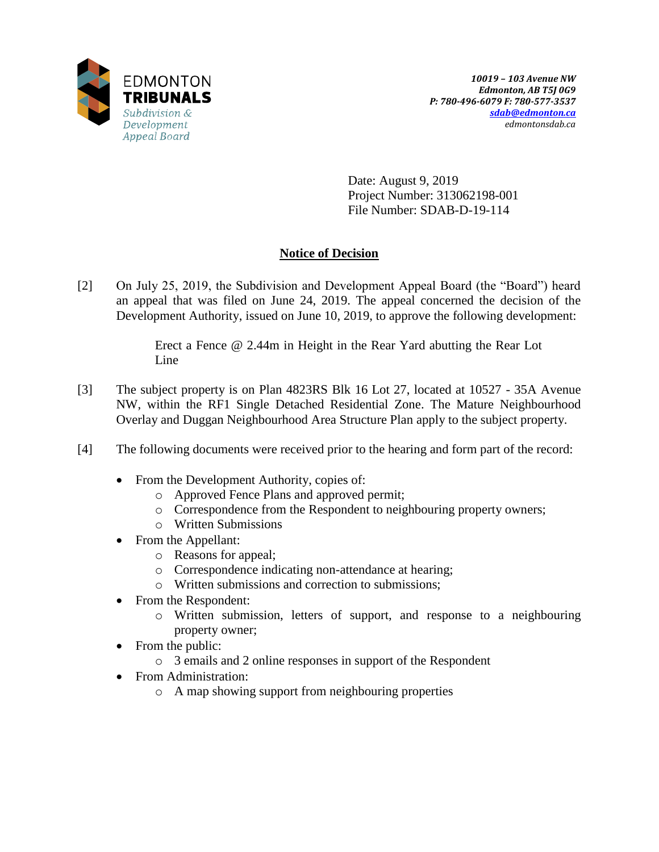

Date: August 9, 2019 Project Number: 313062198-001 File Number: SDAB-D-19-114

# **Notice of Decision**

[2] On July 25, 2019, the Subdivision and Development Appeal Board (the "Board") heard an appeal that was filed on June 24, 2019. The appeal concerned the decision of the Development Authority, issued on June 10, 2019, to approve the following development:

> Erect a Fence @ 2.44m in Height in the Rear Yard abutting the Rear Lot Line

- [3] The subject property is on Plan 4823RS Blk 16 Lot 27, located at 10527 35A Avenue NW, within the RF1 Single Detached Residential Zone. The Mature Neighbourhood Overlay and Duggan Neighbourhood Area Structure Plan apply to the subject property.
- [4] The following documents were received prior to the hearing and form part of the record:
	- From the Development Authority, copies of:
		- o Approved Fence Plans and approved permit;
		- o Correspondence from the Respondent to neighbouring property owners;
		- o Written Submissions
	- From the Appellant:
		- o Reasons for appeal;
		- o Correspondence indicating non-attendance at hearing;
		- o Written submissions and correction to submissions;
	- From the Respondent:
		- o Written submission, letters of support, and response to a neighbouring property owner;
	- From the public:
		- o 3 emails and 2 online responses in support of the Respondent
	- From Administration:
		- o A map showing support from neighbouring properties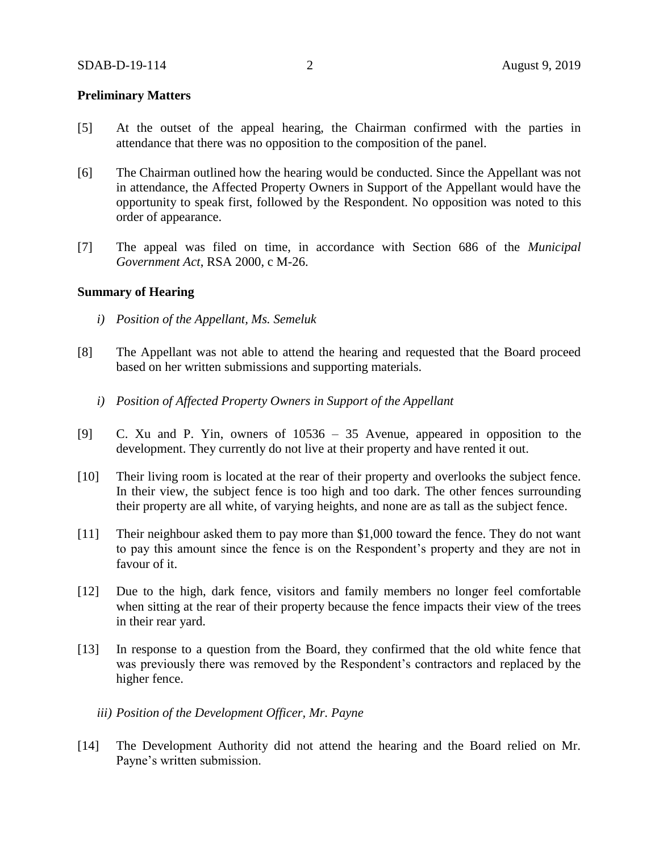# **Preliminary Matters**

- [5] At the outset of the appeal hearing, the Chairman confirmed with the parties in attendance that there was no opposition to the composition of the panel.
- [6] The Chairman outlined how the hearing would be conducted. Since the Appellant was not in attendance, the Affected Property Owners in Support of the Appellant would have the opportunity to speak first, followed by the Respondent. No opposition was noted to this order of appearance.
- [7] The appeal was filed on time, in accordance with Section 686 of the *Municipal Government Act*, RSA 2000, c M-26.

# **Summary of Hearing**

- *i) Position of the Appellant, Ms. Semeluk*
- [8] The Appellant was not able to attend the hearing and requested that the Board proceed based on her written submissions and supporting materials.
	- *i) Position of Affected Property Owners in Support of the Appellant*
- [9] C. Xu and P. Yin, owners of 10536 35 Avenue, appeared in opposition to the development. They currently do not live at their property and have rented it out.
- [10] Their living room is located at the rear of their property and overlooks the subject fence. In their view, the subject fence is too high and too dark. The other fences surrounding their property are all white, of varying heights, and none are as tall as the subject fence.
- [11] Their neighbour asked them to pay more than \$1,000 toward the fence. They do not want to pay this amount since the fence is on the Respondent's property and they are not in favour of it.
- [12] Due to the high, dark fence, visitors and family members no longer feel comfortable when sitting at the rear of their property because the fence impacts their view of the trees in their rear yard.
- [13] In response to a question from the Board, they confirmed that the old white fence that was previously there was removed by the Respondent's contractors and replaced by the higher fence.

### *iii) Position of the Development Officer, Mr. Payne*

[14] The Development Authority did not attend the hearing and the Board relied on Mr. Payne's written submission.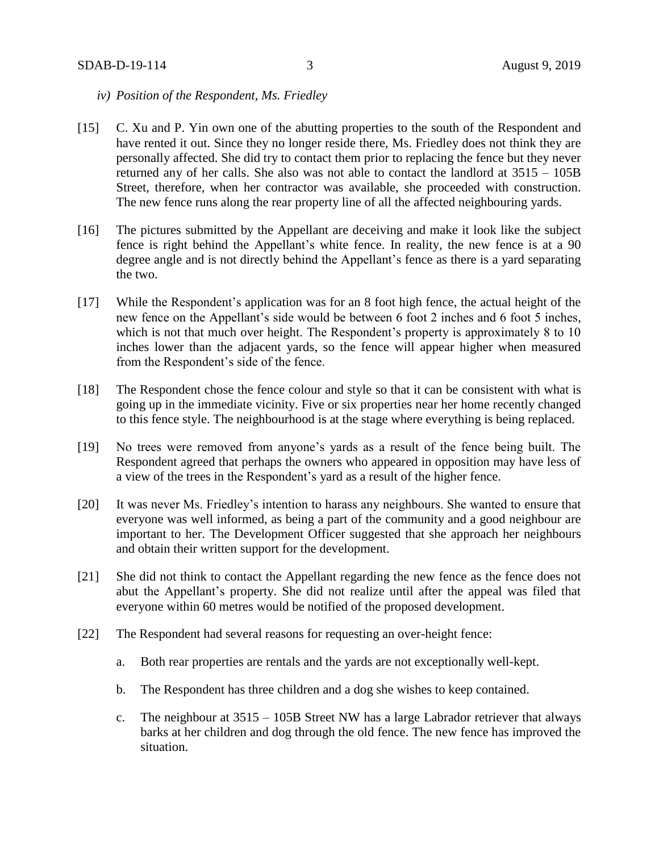- *iv) Position of the Respondent, Ms. Friedley*
- [15] C. Xu and P. Yin own one of the abutting properties to the south of the Respondent and have rented it out. Since they no longer reside there, Ms. Friedley does not think they are personally affected. She did try to contact them prior to replacing the fence but they never returned any of her calls. She also was not able to contact the landlord at 3515 – 105B Street, therefore, when her contractor was available, she proceeded with construction. The new fence runs along the rear property line of all the affected neighbouring yards.
- [16] The pictures submitted by the Appellant are deceiving and make it look like the subject fence is right behind the Appellant's white fence. In reality, the new fence is at a 90 degree angle and is not directly behind the Appellant's fence as there is a yard separating the two.
- [17] While the Respondent's application was for an 8 foot high fence, the actual height of the new fence on the Appellant's side would be between 6 foot 2 inches and 6 foot 5 inches, which is not that much over height. The Respondent's property is approximately 8 to 10 inches lower than the adjacent yards, so the fence will appear higher when measured from the Respondent's side of the fence.
- [18] The Respondent chose the fence colour and style so that it can be consistent with what is going up in the immediate vicinity. Five or six properties near her home recently changed to this fence style. The neighbourhood is at the stage where everything is being replaced.
- [19] No trees were removed from anyone's yards as a result of the fence being built. The Respondent agreed that perhaps the owners who appeared in opposition may have less of a view of the trees in the Respondent's yard as a result of the higher fence.
- [20] It was never Ms. Friedley's intention to harass any neighbours. She wanted to ensure that everyone was well informed, as being a part of the community and a good neighbour are important to her. The Development Officer suggested that she approach her neighbours and obtain their written support for the development.
- [21] She did not think to contact the Appellant regarding the new fence as the fence does not abut the Appellant's property. She did not realize until after the appeal was filed that everyone within 60 metres would be notified of the proposed development.
- [22] The Respondent had several reasons for requesting an over-height fence:
	- a. Both rear properties are rentals and the yards are not exceptionally well-kept.
	- b. The Respondent has three children and a dog she wishes to keep contained.
	- c. The neighbour at 3515 105B Street NW has a large Labrador retriever that always barks at her children and dog through the old fence. The new fence has improved the situation.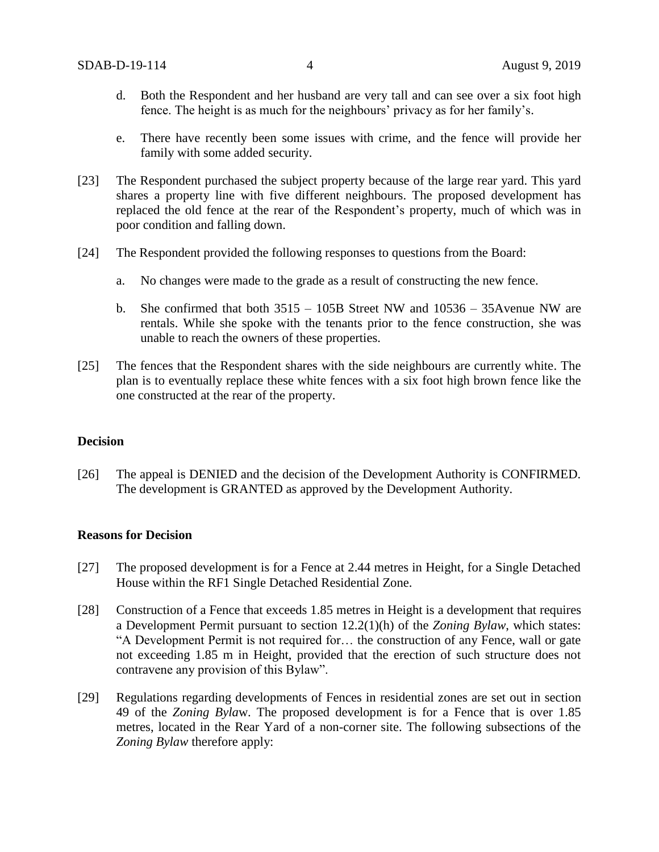- d. Both the Respondent and her husband are very tall and can see over a six foot high fence. The height is as much for the neighbours' privacy as for her family's.
- e. There have recently been some issues with crime, and the fence will provide her family with some added security.
- [23] The Respondent purchased the subject property because of the large rear yard. This yard shares a property line with five different neighbours. The proposed development has replaced the old fence at the rear of the Respondent's property, much of which was in poor condition and falling down.
- [24] The Respondent provided the following responses to questions from the Board:
	- a. No changes were made to the grade as a result of constructing the new fence.
	- b. She confirmed that both 3515 105B Street NW and 10536 35Avenue NW are rentals. While she spoke with the tenants prior to the fence construction, she was unable to reach the owners of these properties.
- [25] The fences that the Respondent shares with the side neighbours are currently white. The plan is to eventually replace these white fences with a six foot high brown fence like the one constructed at the rear of the property.

#### **Decision**

[26] The appeal is DENIED and the decision of the Development Authority is CONFIRMED. The development is GRANTED as approved by the Development Authority.

#### **Reasons for Decision**

- [27] The proposed development is for a Fence at 2.44 metres in Height, for a Single Detached House within the RF1 Single Detached Residential Zone.
- [28] Construction of a Fence that exceeds 1.85 metres in Height is a development that requires a Development Permit pursuant to section 12.2(1)(h) of the *Zoning Bylaw*, which states: "A Development Permit is not required for… the construction of any Fence, wall or gate not exceeding 1.85 m in Height, provided that the erection of such structure does not contravene any provision of this Bylaw".
- [29] Regulations regarding developments of Fences in residential zones are set out in section 49 of the *Zoning Byla*w. The proposed development is for a Fence that is over 1.85 metres, located in the Rear Yard of a non-corner site. The following subsections of the *Zoning Bylaw* therefore apply: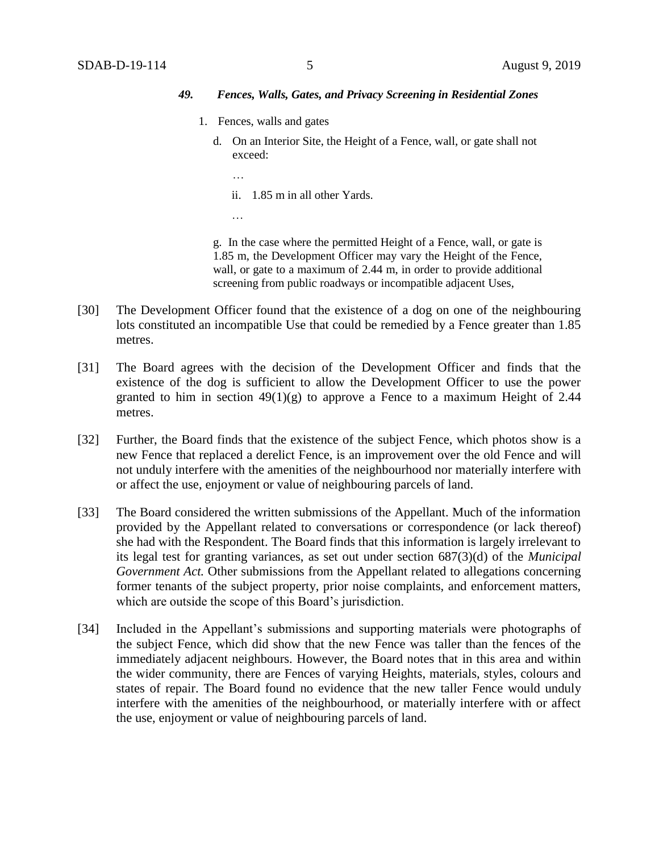### *49. Fences, Walls, Gates, and Privacy Screening in Residential Zones*

- 1. Fences, walls and gates
	- d. On an Interior Site, the Height of a Fence, wall, or gate shall not exceed:
		- …
		- ii. 1.85 m in all other Yards.
		- …

g. In the case where the permitted Height of a Fence, wall, or gate is 1.85 m, the Development Officer may vary the Height of the Fence, wall, or gate to a maximum of 2.44 m, in order to provide additional screening from public roadways or incompatible adjacent Uses,

- [30] The Development Officer found that the existence of a dog on one of the neighbouring lots constituted an incompatible Use that could be remedied by a Fence greater than 1.85 metres.
- [31] The Board agrees with the decision of the Development Officer and finds that the existence of the dog is sufficient to allow the Development Officer to use the power granted to him in section  $49(1)(g)$  to approve a Fence to a maximum Height of 2.44 metres.
- [32] Further, the Board finds that the existence of the subject Fence, which photos show is a new Fence that replaced a derelict Fence, is an improvement over the old Fence and will not unduly interfere with the amenities of the neighbourhood nor materially interfere with or affect the use, enjoyment or value of neighbouring parcels of land.
- [33] The Board considered the written submissions of the Appellant. Much of the information provided by the Appellant related to conversations or correspondence (or lack thereof) she had with the Respondent. The Board finds that this information is largely irrelevant to its legal test for granting variances, as set out under section 687(3)(d) of the *Municipal Government Act.* Other submissions from the Appellant related to allegations concerning former tenants of the subject property, prior noise complaints, and enforcement matters, which are outside the scope of this Board's jurisdiction.
- [34] Included in the Appellant's submissions and supporting materials were photographs of the subject Fence, which did show that the new Fence was taller than the fences of the immediately adjacent neighbours. However, the Board notes that in this area and within the wider community, there are Fences of varying Heights, materials, styles, colours and states of repair. The Board found no evidence that the new taller Fence would unduly interfere with the amenities of the neighbourhood, or materially interfere with or affect the use, enjoyment or value of neighbouring parcels of land.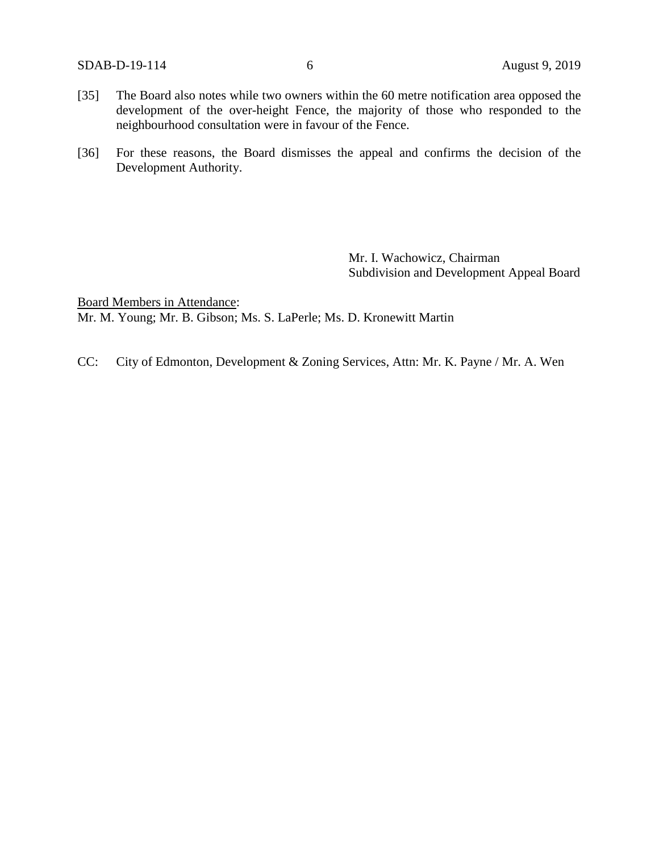SDAB-D-19-114 6 August 9, 2019

- [35] The Board also notes while two owners within the 60 metre notification area opposed the development of the over-height Fence, the majority of those who responded to the neighbourhood consultation were in favour of the Fence.
- [36] For these reasons, the Board dismisses the appeal and confirms the decision of the Development Authority.

Mr. I. Wachowicz, Chairman Subdivision and Development Appeal Board

Board Members in Attendance: Mr. M. Young; Mr. B. Gibson; Ms. S. LaPerle; Ms. D. Kronewitt Martin

CC: City of Edmonton, Development & Zoning Services, Attn: Mr. K. Payne / Mr. A. Wen